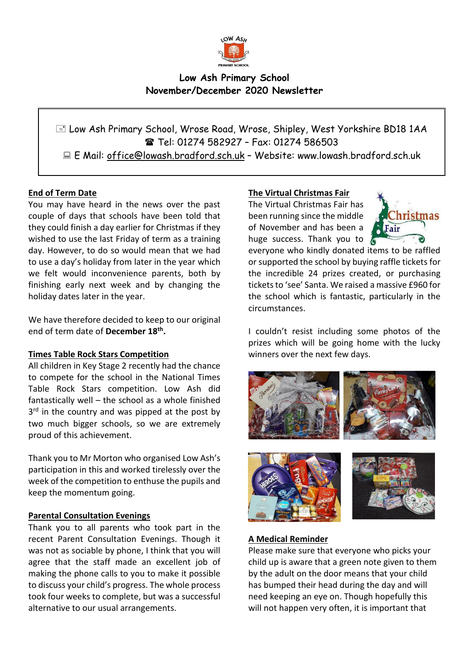

# **Low Ash Primary School November/December 2020 Newsletter**

 Low Ash Primary School, Wrose Road, Wrose, Shipley, West Yorkshire BD18 1AA Tel: 01274 582927 – Fax: 01274 586503 E Mail: office@lowash.bradford.sch.uk – Website: www.lowash.bradford.sch.uk

# **End of Term Date**

You may have heard in the news over the past couple of days that schools have been told that they could finish a day earlier for Christmas if they wished to use the last Friday of term as a training day. However, to do so would mean that we had to use a day's holiday from later in the year which we felt would inconvenience parents, both by finishing early next week and by changing the holiday dates later in the year.

We have therefore decided to keep to our original end of term date of **December 18th .**

## **Times Table Rock Stars Competition**

All children in Key Stage 2 recently had the chance to compete for the school in the National Times Table Rock Stars competition. Low Ash did fantastically well – the school as a whole finished 3<sup>rd</sup> in the country and was pipped at the post by two much bigger schools, so we are extremely proud of this achievement.

Thank you to Mr Morton who organised Low Ash's participation in this and worked tirelessly over the week of the competition to enthuse the pupils and keep the momentum going.

## **Parental Consultation Evenings**

Thank you to all parents who took part in the recent Parent Consultation Evenings. Though it was not as sociable by phone, I think that you will agree that the staff made an excellent job of making the phone calls to you to make it possible to discuss your child's progress. The whole process took four weeks to complete, but was a successful alternative to our usual arrangements.

#### **The Virtual Christmas Fair**

The Virtual Christmas Fair has been running since the middle of November and has been a huge success. Thank you to  $\ell$ 



everyone who kindly donated items to be raffled or supported the school by buying raffle tickets for the incredible 24 prizes created, or purchasing tickets to 'see' Santa. We raised a massive £960 for the school which is fantastic, particularly in the circumstances.

I couldn't resist including some photos of the prizes which will be going home with the lucky winners over the next few days.







#### **A Medical Reminder**

Please make sure that everyone who picks your child up is aware that a green note given to them by the adult on the door means that your child has bumped their head during the day and will need keeping an eye on. Though hopefully this will not happen very often, it is important that